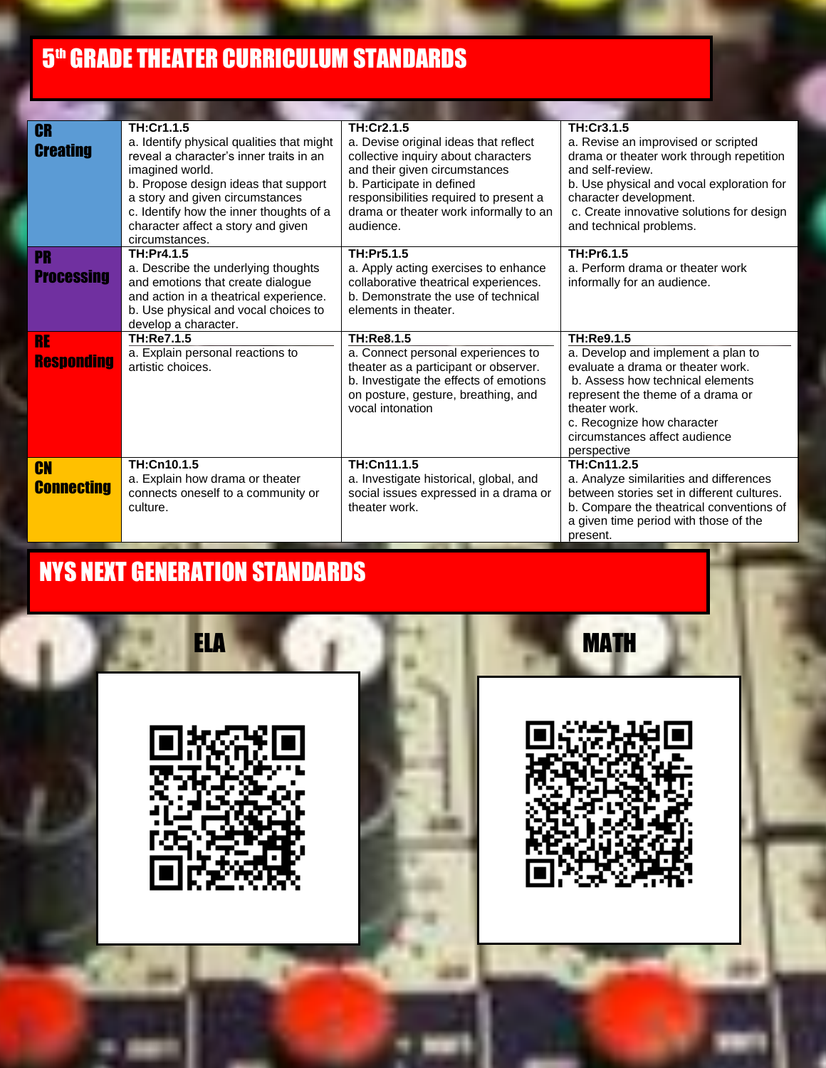## **5<sup>th</sup> Grade Theater Curriculum Standards**

| <b>CR</b><br><b>Creating</b>   | TH:Cr1.1.5<br>a. Identify physical qualities that might<br>reveal a character's inner traits in an<br>imagined world.<br>b. Propose design ideas that support<br>a story and given circumstances<br>c. Identify how the inner thoughts of a<br>character affect a story and given<br>circumstances. | TH:Cr2.1.5<br>a. Devise original ideas that reflect<br>collective inquiry about characters<br>and their given circumstances<br>b. Participate in defined<br>responsibilities required to present a<br>drama or theater work informally to an<br>audience. | TH:Cr3.1.5<br>a. Revise an improvised or scripted<br>drama or theater work through repetition<br>and self-review.<br>b. Use physical and vocal exploration for<br>character development.<br>c. Create innovative solutions for design<br>and technical problems. |
|--------------------------------|-----------------------------------------------------------------------------------------------------------------------------------------------------------------------------------------------------------------------------------------------------------------------------------------------------|-----------------------------------------------------------------------------------------------------------------------------------------------------------------------------------------------------------------------------------------------------------|------------------------------------------------------------------------------------------------------------------------------------------------------------------------------------------------------------------------------------------------------------------|
| <b>PR</b><br><b>Processing</b> | TH:Pr4.1.5<br>a. Describe the underlying thoughts<br>and emotions that create dialogue<br>and action in a theatrical experience.<br>b. Use physical and vocal choices to<br>develop a character.                                                                                                    | TH:Pr5.1.5<br>a. Apply acting exercises to enhance<br>collaborative theatrical experiences.<br>b. Demonstrate the use of technical<br>elements in theater.                                                                                                | TH:Pr6.1.5<br>a. Perform drama or theater work<br>informally for an audience.                                                                                                                                                                                    |
| <b>RE</b><br><b>Responding</b> | TH:Re7.1.5<br>a. Explain personal reactions to<br>artistic choices.                                                                                                                                                                                                                                 | TH:Re8.1.5<br>a. Connect personal experiences to<br>theater as a participant or observer.<br>b. Investigate the effects of emotions<br>on posture, gesture, breathing, and<br>vocal intonation                                                            | TH:Re9.1.5<br>a. Develop and implement a plan to<br>evaluate a drama or theater work.<br>b. Assess how technical elements<br>represent the theme of a drama or<br>theater work.<br>c. Recognize how character<br>circumstances affect audience<br>perspective    |
| <b>CN</b><br><b>Connecting</b> | TH:Cn10.1.5<br>a. Explain how drama or theater<br>connects oneself to a community or<br>culture.                                                                                                                                                                                                    | TH:Cn11.1.5<br>a. Investigate historical, global, and<br>social issues expressed in a drama or<br>theater work.                                                                                                                                           | TH:Cn11.2.5<br>a. Analyze similarities and differences<br>between stories set in different cultures.<br>b. Compare the theatrical conventions of<br>a given time period with those of the<br>present.                                                            |

## NYS NEXT GENERATION STANDARDS

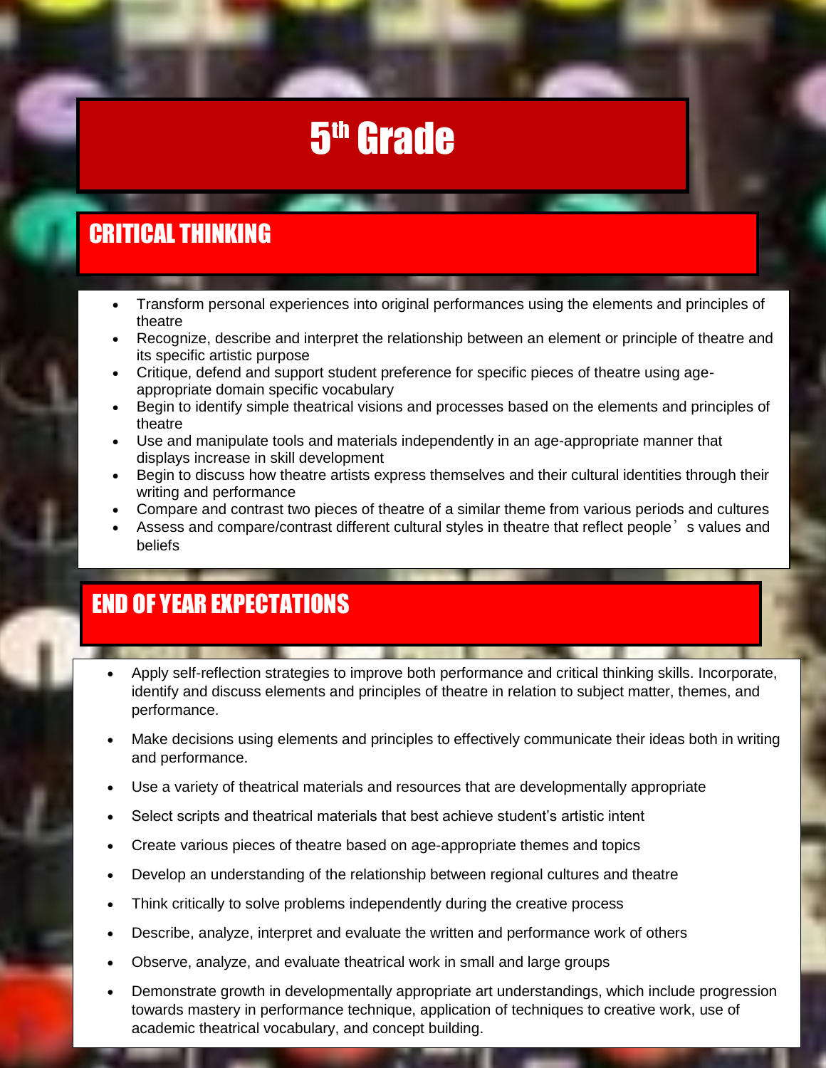# 5<sup>th</sup> Grade

## CRITICAL THINKING

- Transform personal experiences into original performances using the elements and principles of theatre
- Recognize, describe and interpret the relationship between an element or principle of theatre and its specific artistic purpose
- Critique, defend and support student preference for specific pieces of theatre using ageappropriate domain specific vocabulary
- Begin to identify simple theatrical visions and processes based on the elements and principles of theatre
- Use and manipulate tools and materials independently in an age-appropriate manner that displays increase in skill development
- Begin to discuss how theatre artists express themselves and their cultural identities through their writing and performance
- Compare and contrast two pieces of theatre of a similar theme from various periods and cultures
- Assess and compare/contrast different cultural styles in theatre that reflect people<sup>3</sup> s values and beliefs

### END OF YEAR EXPECTATIONS

- Apply self-reflection strategies to improve both performance and critical thinking skills. Incorporate, identify and discuss elements and principles of theatre in relation to subject matter, themes, and performance.
- Make decisions using elements and principles to effectively communicate their ideas both in writing and performance.
- Use a variety of theatrical materials and resources that are developmentally appropriate
- Select scripts and theatrical materials that best achieve student's artistic intent
- Create various pieces of theatre based on age-appropriate themes and topics
- Develop an understanding of the relationship between regional cultures and theatre
- Think critically to solve problems independently during the creative process
- Describe, analyze, interpret and evaluate the written and performance work of others
- Observe, analyze, and evaluate theatrical work in small and large groups
- Demonstrate growth in developmentally appropriate art understandings, which include progression towards mastery in performance technique, application of techniques to creative work, use of academic theatrical vocabulary, and concept building.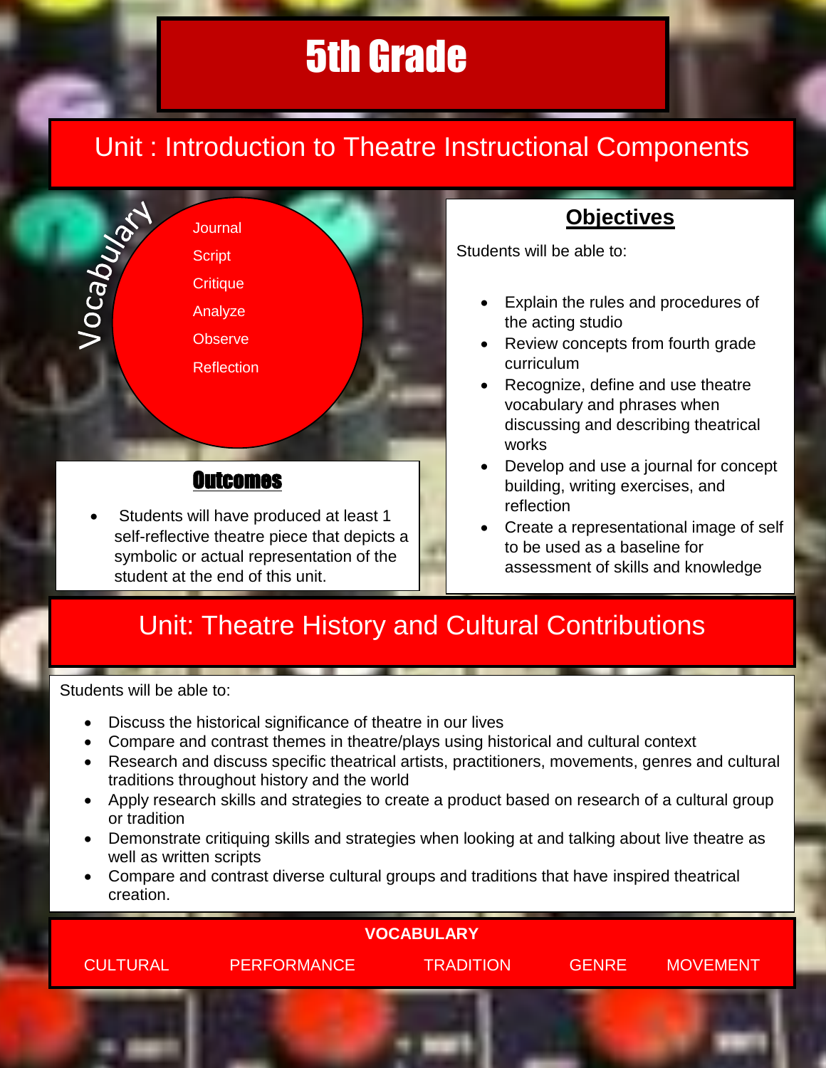# Unit : Introduction to Theatre Instructional Components



 Students will have produced at least 1 self-reflective theatre piece that depicts a symbolic or actual representation of the student at the end of this unit.

### **Objectives**

Students will be able to:

- Explain the rules and procedures of the acting studio
- Review concepts from fourth grade curriculum
- Recognize, define and use theatre vocabulary and phrases when discussing and describing theatrical works
- Develop and use a journal for concept building, writing exercises, and reflection
- Create a representational image of self to be used as a baseline for assessment of skills and knowledge

# Unit: Theatre History and Cultural Contributions

Students will be able to:

- Discuss the historical significance of theatre in our lives
- Compare and contrast themes in theatre/plays using historical and cultural context
- Research and discuss specific theatrical artists, practitioners, movements, genres and cultural traditions throughout history and the world
- Apply research skills and strategies to create a product based on research of a cultural group or tradition
- Demonstrate critiquing skills and strategies when looking at and talking about live theatre as well as written scripts
- Compare and contrast diverse cultural groups and traditions that have inspired theatrical creation.

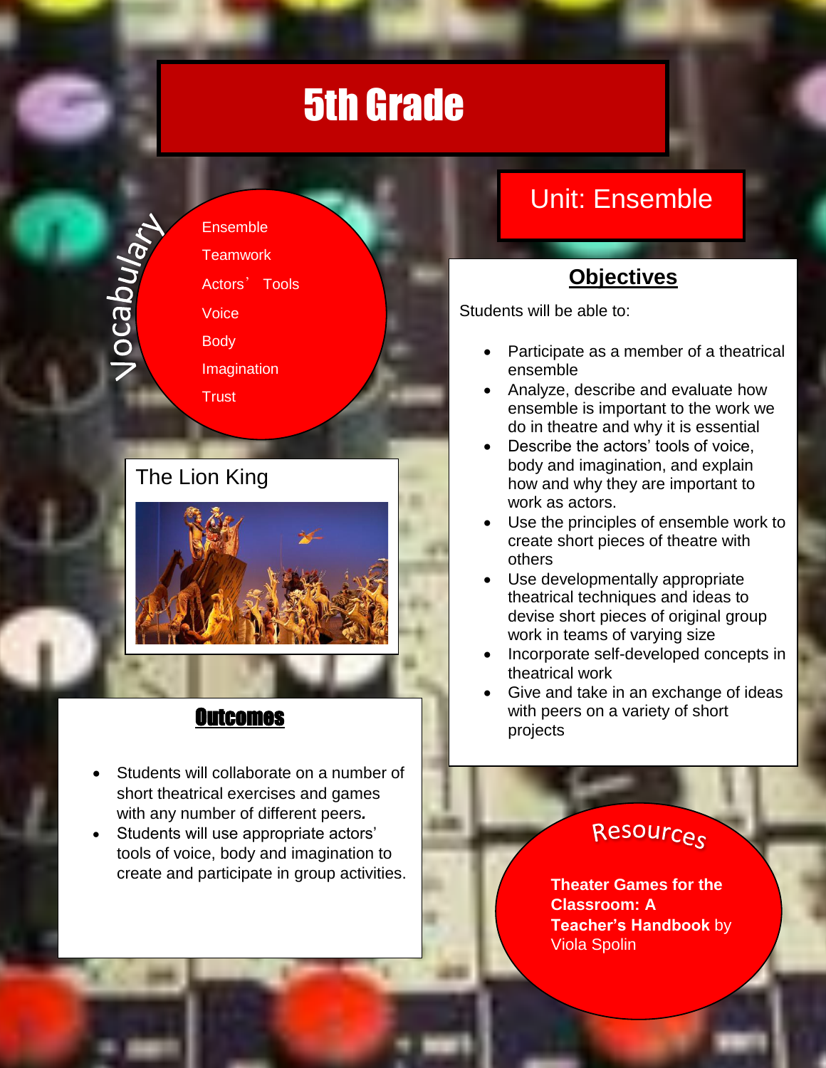Jocabulan

**Ensemble Teamwork** Actors' Tools Voice **Body** Imagination **Trust** 

## The Lion King



#### **Outcomes**

- Students will collaborate on a number of short theatrical exercises and games with any number of different peers*.*
- Students will use appropriate actors' tools of voice, body and imagination to create and participate in group activities.

# Unit: Ensemble

## **Objectives**

Students will be able to:

- Participate as a member of a theatrical ensemble
- Analyze, describe and evaluate how ensemble is important to the work we do in theatre and why it is essential
- Describe the actors' tools of voice, body and imagination, and explain how and why they are important to work as actors.
- Use the principles of ensemble work to create short pieces of theatre with others
- Use developmentally appropriate theatrical techniques and ideas to devise short pieces of original group work in teams of varying size
- Incorporate self-developed concepts in theatrical work
- Give and take in an exchange of ideas with peers on a variety of short projects

## Resources

**Theater Games for the Classroom: A Teacher's Handbook** by Viola Spolin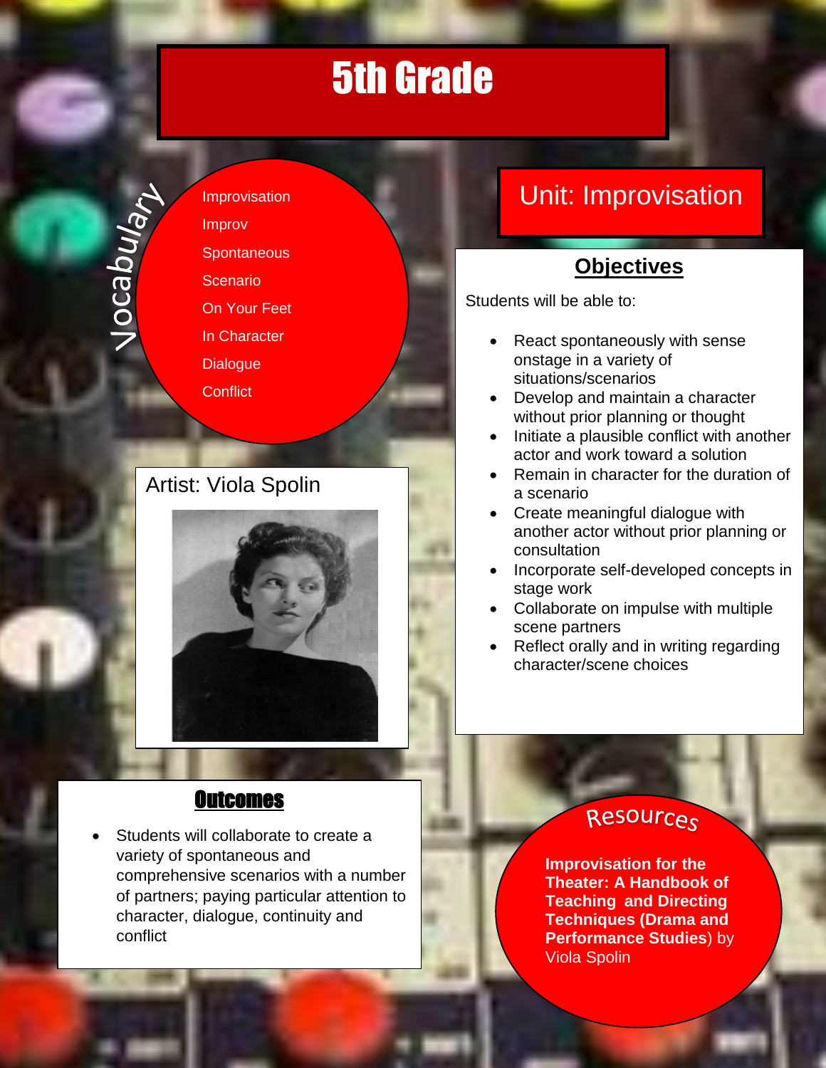# 5th 5th Grade

**Jocaburan** 

Improvisation Improv **Spontaneous Scenario** On Your Feet In Character **Dialogue Conflict** 

#### Artist: Viola Spolin



# Unit: Improvisation

### **Objectives**

Students will be able to:

- React spontaneously with sense onstage in a variety of situations/scenarios
- Develop and maintain a character without prior planning or thought
- Initiate a plausible conflict with another actor and work toward a solution
- Remain in character for the duration of a scenario
- Create meaningful dialogue with another actor without prior planning or consultation
- Incorporate self-developed concepts in stage work
- Collaborate on impulse with multiple scene partners
- Reflect orally and in writing regarding character/scene choices

#### **Outcomes**

 Students will collaborate to create a variety of spontaneous and comprehensive scenarios with a number of partners; paying particular attention to character, dialogue, continuity and conflict

## Resources

**Improvisation for the Theater: A Handbook of Teaching and Directing Techniques (Drama and Performance Studies**) by Viola Spolin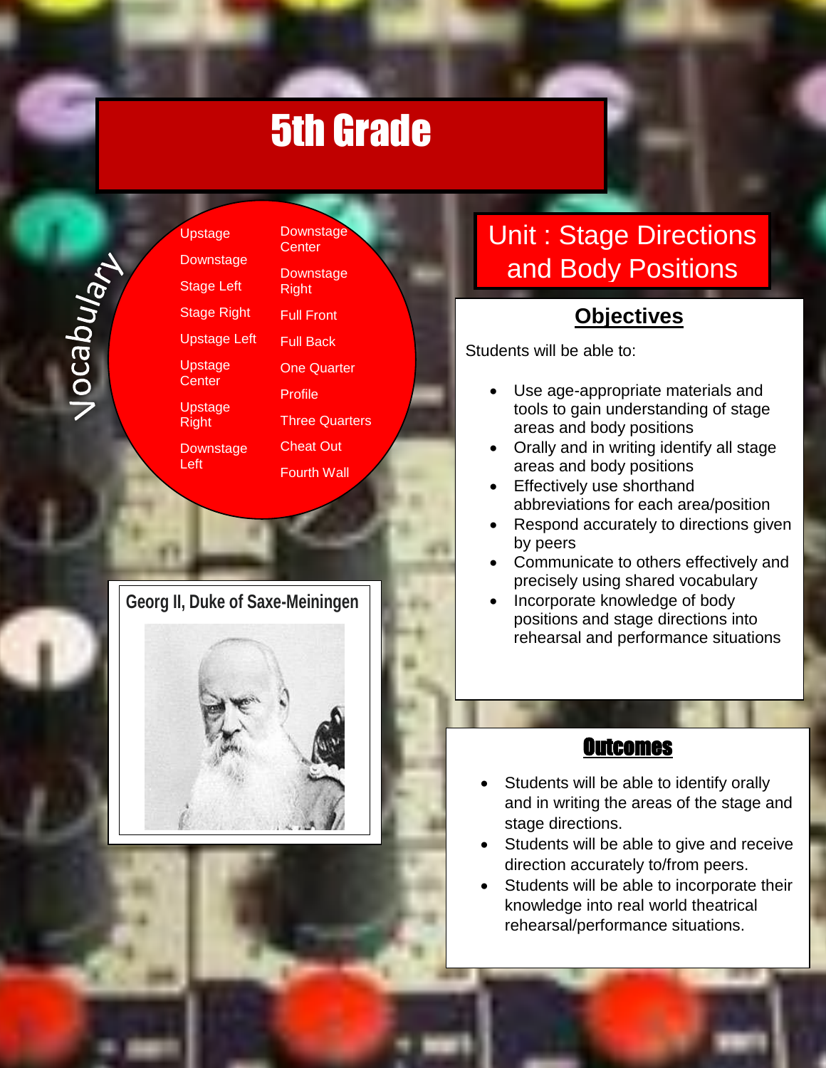Downstage **Center** 

**Downstage** Right

Full Front Full Back

One Quarter

Fourth Wall

Vocaburant

Upstage **Downstage** Stage Left Stage Right Upstage Left Upstage **Center** Upstage Right

Left

**Downstage** Profile Three Quarters Cheat Out

**Georg II, Duke of Saxe-Meiningen**



# Unit : Stage Directions and Body Positions

#### **Objectives**

Students will be able to:

- Use age-appropriate materials and tools to gain understanding of stage areas and body positions
- Orally and in writing identify all stage areas and body positions
- Effectively use shorthand abbreviations for each area/position
- Respond accurately to directions given by peers
- Communicate to others effectively and precisely using shared vocabulary
- Incorporate knowledge of body positions and stage directions into rehearsal and performance situations

#### **Outcomes**

- Students will be able to identify orally and in writing the areas of the stage and stage directions.
- Students will be able to give and receive direction accurately to/from peers.
- Students will be able to incorporate their knowledge into real world theatrical rehearsal/performance situations.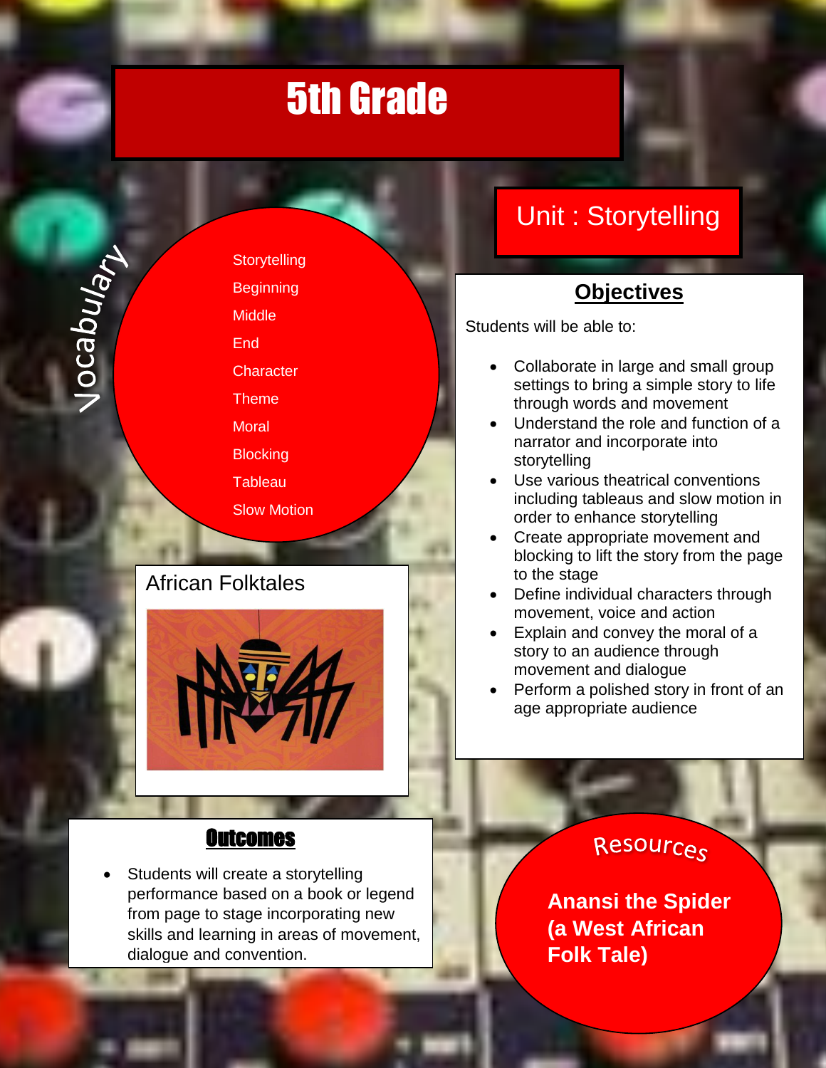Vocaburah

**Storytelling Beginning Middle End Character** Theme **Moral Blocking Tableau** Slow Motion

#### African Folktales Narrator



Convention

# Unit : Storytelling

#### **Objectives**

Students will be able to:

- Collaborate in large and small group settings to bring a simple story to life through words and movement
- Understand the role and function of a narrator and incorporate into storytelling
- Use various theatrical conventions including tableaus and slow motion in order to enhance storytelling
- Create appropriate movement and blocking to lift the story from the page to the stage
- Define individual characters through movement, voice and action
- Explain and convey the moral of a story to an audience through movement and dialogue
- Perform a polished story in front of an age appropriate audience

#### **Outcomes**

 Students will create a storytelling performance based on a book or legend from page to stage incorporating new skills and learning in areas of movement, dialogue and convention.

Resources

**Anansi the Spider (a West African Folk Tale)**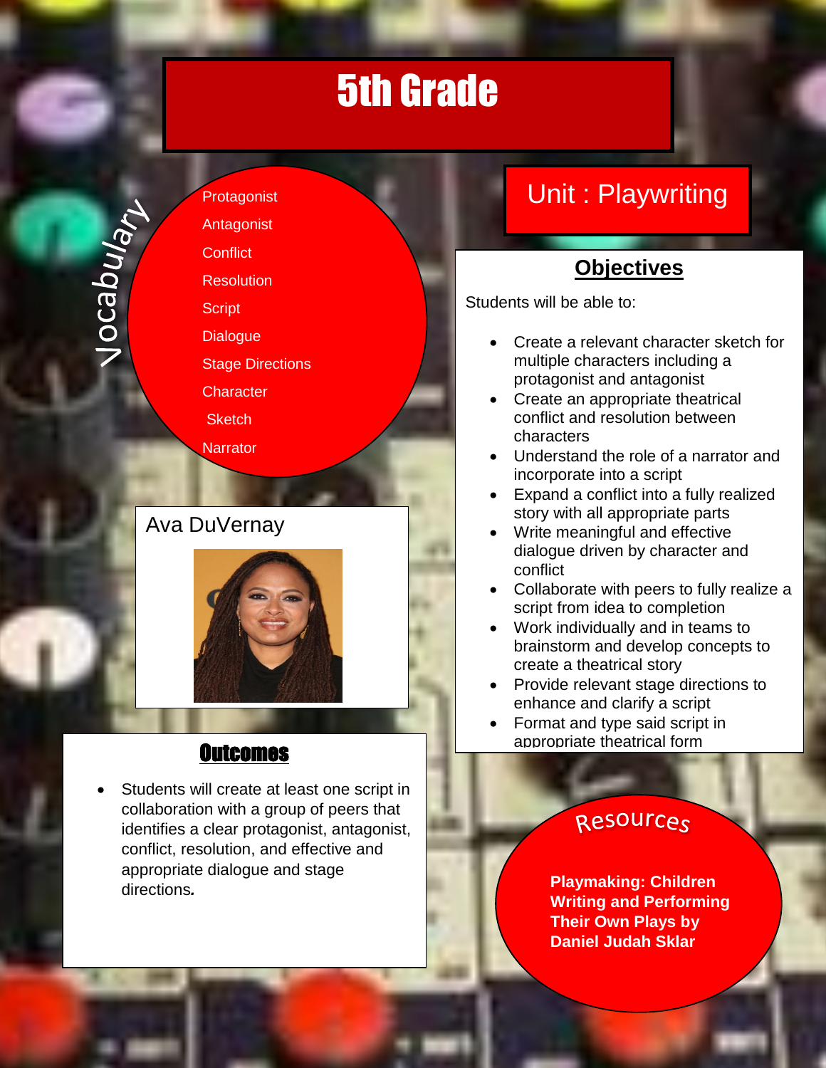**Protagonist** Antagonist **Conflict** 

**Jocaburant** 

**Resolution** 

**Script Dialogue** 

Stage Directions

**Character** 

**Sketch** 

Narrator

### Ava DuVernay

l.



#### **Outcomes**

 Students will create at least one script in collaboration with a group of peers that identifies a clear protagonist, antagonist, conflict, resolution, and effective and appropriate dialogue and stage directions*.*

# Unit : Playwriting

### **Objectives**

Students will be able to:

- Create a relevant character sketch for multiple characters including a protagonist and antagonist
- Create an appropriate theatrical conflict and resolution between characters
- Understand the role of a narrator and incorporate into a script
- Expand a conflict into a fully realized story with all appropriate parts
- Write meaningful and effective dialogue driven by character and conflict
- Collaborate with peers to fully realize a script from idea to completion
- Work individually and in teams to brainstorm and develop concepts to create a theatrical story
- Provide relevant stage directions to enhance and clarify a script
- Format and type said script in appropriate theatrical form

### Resources

**Playmaking: Children Writing and Performing Their Own Plays by Daniel Judah Sklar**